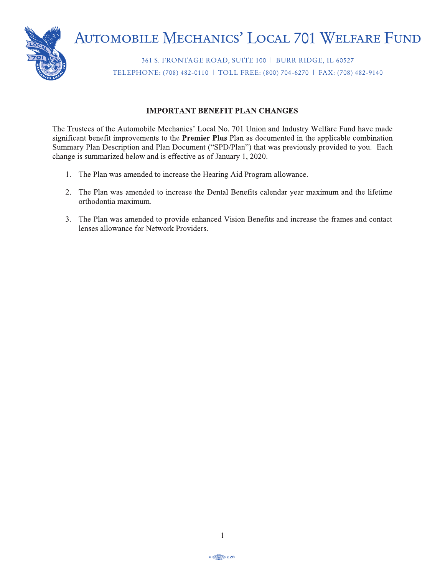

361 S. FRONTAGE ROAD, SUITE 100 | BURR RIDGE, IL 60527 TELEPHONE: (708) 482-0110 | TOLL FREE: (800) 704-6270 | FAX: (708) 482-9140

### **IMPORTANT BENEFIT PLAN CHANGES**

The Trustees of the Automobile Mechanics' Local No. 701 Union and Industry Welfare Fund have made significant benefit improvements to the **Premier Plus** Plan as documented in the applicable combination<br>Summary Plan Description and Plan Document ("SPD/Plan") that was previously provided to you. Each  $\frac{1}{2000}$  is summarized below and is effective as of January 1–2020.  $\mu_{\text{max}}$  is summarized serow and is errective as of sumary  $T$ , 2020.

- 1. The Plan was amended to increase the Hearing Aid Program allowance.  $\mathcal{L}$  employee  $\mathcal{L}$ 
	- 2. The Plan was amended to increase the Dental Benefits calendar year maximum and the lifetime orthodontia maximum.
	- 3. The Plan was amended to provide enhanced Vision Benefits and increase the frames and contact lenses allowance for Network Providers.

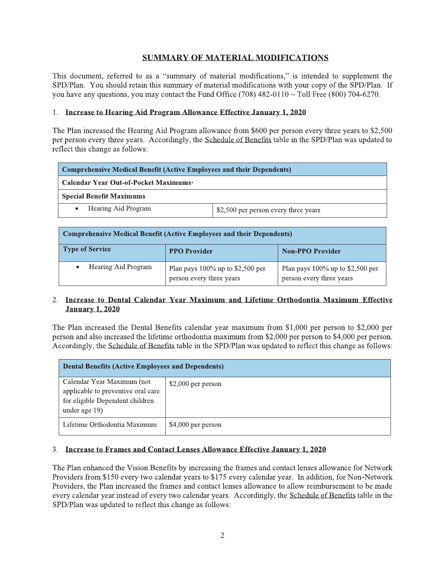# **SUMMARY OF MATERIAL MODIFICATIONS**

This document, referred to as a "summary of material modifications," is intended to supplement the SPD/Plan. You should retain this summary of material modifications with your copy of the SPD/Plan. If you have any questions, you may contact the Fund Office (708) 482-0110  $\sim$  Toll Free (800) 704-6270.

#### 1. Increase to Hearing Aid Program Allowance Effective January 1, 2020

The Plan increased the Hearing Aid Program allowance from \$600 per person every three years to \$2,500 per person every three years. Accordingly, the Schedule of Benefits table in the SPD/Plan was updated to reflect this change as follows:

| Comprehensive Medical Benefit (Active Employees and their Dependents) |                                      |  |  |
|-----------------------------------------------------------------------|--------------------------------------|--|--|
| <b>Calendar Year Out-of-Pocket Maximums*</b>                          |                                      |  |  |
| <b>Special Benefit Maximums</b>                                       |                                      |  |  |
| Hearing Aid Program                                                   | \$2,500 per person every three years |  |  |

| <b>Comprehensive Medical Benefit (Active Employees and their Dependents)</b> |                                                                 |                                                                 |  |
|------------------------------------------------------------------------------|-----------------------------------------------------------------|-----------------------------------------------------------------|--|
| Type of Service                                                              | <b>PPO Provider</b>                                             | <b>Non-PPO Provider</b>                                         |  |
| Hearing Aid Program                                                          | Plan pays $100\%$ up to \$2,500 per<br>person every three years | Plan pays $100\%$ up to \$2,500 per<br>person every three years |  |

#### 2. Increase to Dental Calendar Year Maximum and Lifetime Orthodontia Maximum Effective **January 1, 2020**

The Plan increased the Dental Benefits calendar year maximum from \$1,000 per person to \$2,000 per person and also increased the lifetime orthodontia maximum from \$2,000 per person to \$4,000 per person. Accordingly, the Schedule of Benefits table in the SPD/Plan was updated to reflect this change as follows:

| <b>Dental Benefits (Active Employees and Dependents)</b>                                                             |                    |  |
|----------------------------------------------------------------------------------------------------------------------|--------------------|--|
| Calendar Year Maximum (not<br>applicable to preventive oral care<br>for eligible Dependent children<br>under age 19) | \$2,000 per person |  |
| Lifetime Orthodontia Maximum                                                                                         | \$4,000 per person |  |

## 3. Increase to Frames and Contact Lenses Allowance Effective January 1, 2020

The Plan enhanced the Vision Benefits by increasing the frames and contact lenses allowance for Network Providers from \$150 every two calendar years to \$175 every calendar year. In addition, for Non-Network Providers, the Plan increased the frames and contact lenses allowance to allow reimbursement to be made every calendar year instead of every two calendar years. Accordingly, the Schedule of Benefits table in the SPD/Plan was updated to reflect this change as follows: